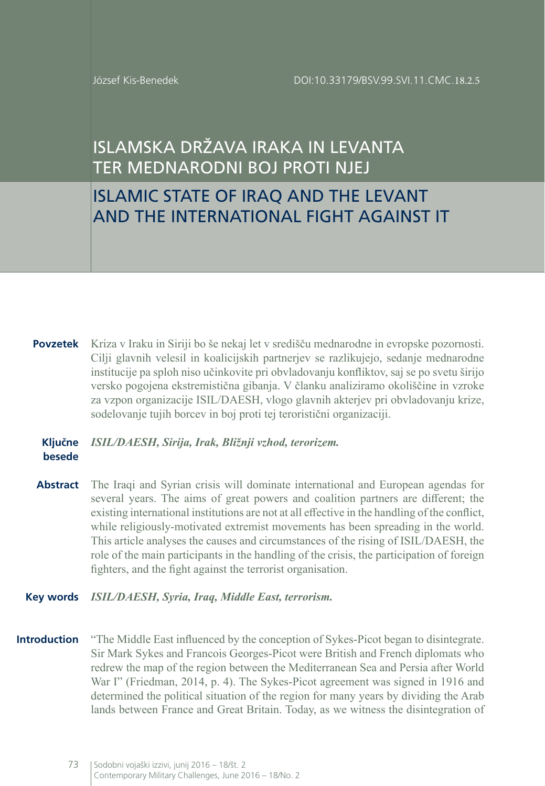József Kis-Benedek

# ISLAMSKA DRŽAVA IRAKA IN LEVANTA TER MEDNARODNI BOJ PROTI NJEJ

# ISLAMIC STATE OF IRAQ AND THE LEVANT AND THE INTERNATIONAL FIGHT AGAINST IT

**Povzetek** Kriza v Iraku in Siriji bo še nekaj let v središču mednarodne in evropske pozornosti. Cilji glavnih velesil in koalicijskih partnerjev se razlikujejo, sedanje mednarodne institucije pa sploh niso učinkovite pri obvladovanju konfliktov, saj se po svetu širijo versko pogojena ekstremistična gibanja. V članku analiziramo okoliščine in vzroke za vzpon organizacije ISIL/DAESH, vlogo glavnih akterjev pri obvladovanju krize, sodelovanje tujih borcev in boj proti tej teroristični organizaciji.

#### **Ključne besede** *ISIL/DAESH, Sirija, Irak, Bližnji vzhod, terorizem.*

**Abstract** The Iraqi and Syrian crisis will dominate international and European agendas for several years. The aims of great powers and coalition partners are different; the existing international institutions are not at all effective in the handling of the conflict, while religiously-motivated extremist movements has been spreading in the world. This article analyses the causes and circumstances of the rising of ISIL/DAESH, the role of the main participants in the handling of the crisis, the participation of foreign fighters, and the fight against the terrorist organisation.

#### **Key words** *ISIL/DAESH, Syria, Iraq, Middle East, terrorism.*

**Introduction** "The Middle East influenced by the conception of Sykes-Picot began to disintegrate. Sir Mark Sykes and Francois Georges-Picot were British and French diplomats who redrew the map of the region between the Mediterranean Sea and Persia after World War I" (Friedman, 2014, p. 4). The Sykes-Picot agreement was signed in 1916 and determined the political situation of the region for many years by dividing the Arab lands between France and Great Britain. Today, as we witness the disintegration of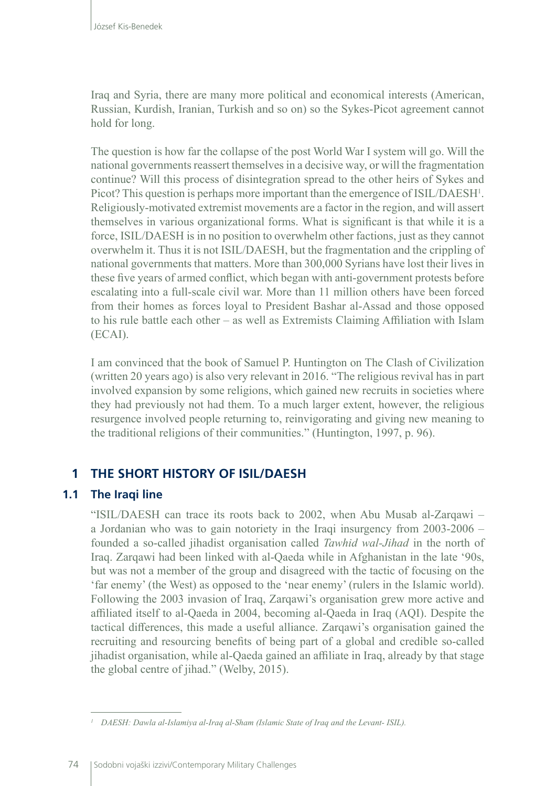Iraq and Syria, there are many more political and economical interests (American, Russian, Kurdish, Iranian, Turkish and so on) so the Sykes-Picot agreement cannot hold for long.

The question is how far the collapse of the post World War I system will go. Will the national governments reassert themselves in a decisive way, or will the [fragmentation](http://www.stratfor.com/geopolitical-diary/iraqs-new-government-must-unify-defeat-islamic-state)  [continue?](http://www.stratfor.com/geopolitical-diary/iraqs-new-government-must-unify-defeat-islamic-state) Will this process of disintegration spread to the other heirs of Sykes and Picot? This question is perhaps more important than the emergence of ISIL/DAESH<sup>1</sup>. Religiously-motivated extremist movements are a factor in the region, and will assert themselves in various organizational forms. What is significant is that while it is a force, ISIL/DAESH is in no position to overwhelm other factions, just as they cannot overwhelm it. Thus it is not ISIL/DAESH, but the fragmentation and the crippling of national governments that matters. More than 300,000 Syrians have lost their lives in these five years of armed conflict, which began with anti-government protests before escalating into a full-scale civil war. More than 11 million others have been forced from their homes as forces loyal to President Bashar al-Assad and those opposed to his rule battle each other – as well as Extremists Claiming Affiliation with Islam (ECAI).

I am convinced that the book of Samuel P. Huntington on The Clash of Civilization (written 20 years ago) is also very relevant in 2016. "The religious revival has in part involved expansion by some religions, which gained new recruits in societies where they had previously not had them. To a much larger extent, however, the religious resurgence involved people returning to, reinvigorating and giving new meaning to the traditional religions of their communities." (Huntington, 1997, p. 96).

# **1 THE SHORT HISTORY OF ISIL/DAESH**

### **1.1 The Iraqi line**

"ISIL/DAESH can trace its roots back to 2002, when Abu Musab al-Zarqawi – a Jordanian who was to gain notoriety in the Iraqi insurgency from 2003-2006 – founded a so-called jihadist organisation called *Tawhid wal-Jihad* in the north of Iraq. Zarqawi had been linked with al-Qaeda while in Afghanistan in the late '90s, but was not a member of the group and [disagreed with the tactic](http://web.archive.org/web/20150316074550/http:/www.tandfonline.com/doi/abs/10.1162/.U5nSXK1dWHo) of focusing on the 'far enemy' (the West) as opposed to the 'near enemy' (rulers in the Islamic world). Following the 2003 invasion of Iraq, Zarqawi's organisation grew more active and affiliated itself to al-Qaeda in 2004, becoming al-Qaeda in Iraq (AQI). Despite the tactical differences, this made a useful alliance. Zarqawi's organisation gained the recruiting and resourcing benefits of being part of a global and credible so-called jihadist organisation, while al-Qaeda gained an affiliate in Iraq, already by that stage the global centre of jihad." (Welby, 2015).

*<sup>1</sup> DAESH: Dawla al-Islamiya al-Iraq al-Sham (Islamic State of Iraq and the Levant- ISIL).*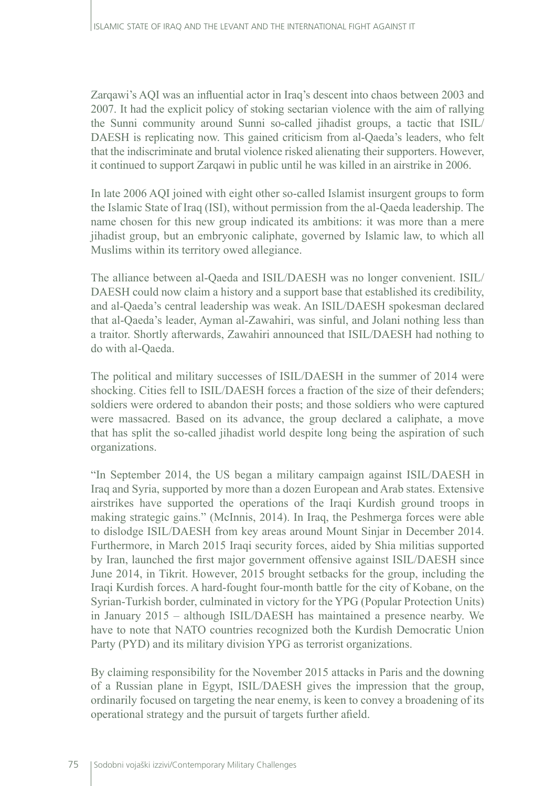Zarqawi's AQI was an influential actor in Iraq's descent into chaos between 2003 and 2007. It had the explicit policy of stoking sectarian violence with the aim of rallying the Sunni community around Sunni so-called jihadist groups, a tactic that [ISIL/](http://web.archive.org/web/20150316074550/http:/www.joshualandis.com/blog/future-isis-sectarian-response-isis-picked-fight-win/) [DAESH is replicating now](http://web.archive.org/web/20150316074550/http:/www.joshualandis.com/blog/future-isis-sectarian-response-isis-picked-fight-win/). This gained criticism from al-Qaeda's leaders, who felt that the indiscriminate and brutal violence risked alienating their supporters. However, it continued to support Zarqawi in public until he was killed in an airstrike in 2006.

In late 2006 [AQI joined with eight other so-called Islamist insurgent groups](http://web.archive.org/web/20150316074550/http:/www.jihadica.com/the-islamic-state-of-disobedience-al-baghdadis-defiance/) to form the Islamic State of Iraq (ISI), without permission from the al-Qaeda leadership. The name chosen for this new group indicated its ambitions: it was more than a mere jihadist group, but an embryonic caliphate, governed by Islamic law, to which all Muslims within its territory owed allegiance.

The alliance between al-Qaeda and ISIL/DAESH was no longer convenient. ISIL/ DAESH could now claim a history and a support base that established its credibility, and al-Qaeda's central leadership was weak. An ISIL/DAESH spokesman declared that al-Qaeda's leader, Ayman al-Zawahiri, was sinful, and Jolani nothing less than a traitor. Shortly afterwards, Zawahiri announced that ISIL/DAESH had nothing to do with al-Qaeda.

The political and military successes of ISIL/DAESH in the summer of 2014 were shocking. Cities fell to ISIL/DAESH forces a fraction of the size of their defenders; soldiers were ordered to abandon their posts; and those soldiers who were captured were massacred. Based on its advance, the group declared a [caliphate,](http://tonyblairfaithfoundation.org/religion-geopolitics/glossary/caliphate) a move that has split the so-called jihadist world despite long being the aspiration of such organizations.

"In September 2014, the US began a military campaign against ISIL/DAESH in Iraq and Syria, supported by more than a dozen European and Arab states. Extensive airstrikes have [supported the operations of the Iraqi Kurdish ground troops](http://www.theguardian.com/world/2014/dec/21/peshmerga-forces-isis-mount-sinjar) in making strategic gains." (McInnis, 2014). In Iraq, the Peshmerga forces were able to [dislodge ISIL/DAESH from key areas around Mount Sinjar](http://www.theguardian.com/world/2014/dec/18/mount-sinjar-yazidis-kurds-liberate) in December 2014. Furthermore, in March 2015 Iraqi security forces, aided by Shia militias supported by Iran, launched the first major government offensive against ISIL/DAESH since June 2014, in Tikrit. However, 2015 brought setbacks for the group, including the Iraqi Kurdish forces. A hard-fought four-month battle for the city of Kobane, on the Syrian-Turkish border, culminated in victory for the YPG (Popular Protection Units) in January 2015 – although ISIL/DAESH has maintained a presence nearby. We have to note that NATO countries recognized both the Kurdish Democratic Union Party (PYD) and its military division YPG as terrorist organizations.

By claiming responsibility for the November 2015 attacks in Paris and the downing of a Russian plane in Egypt, ISIL/DAESH gives the impression that the group, ordinarily focused on targeting the near enemy, is keen to convey a broadening of its operational strategy and the pursuit of targets further afield.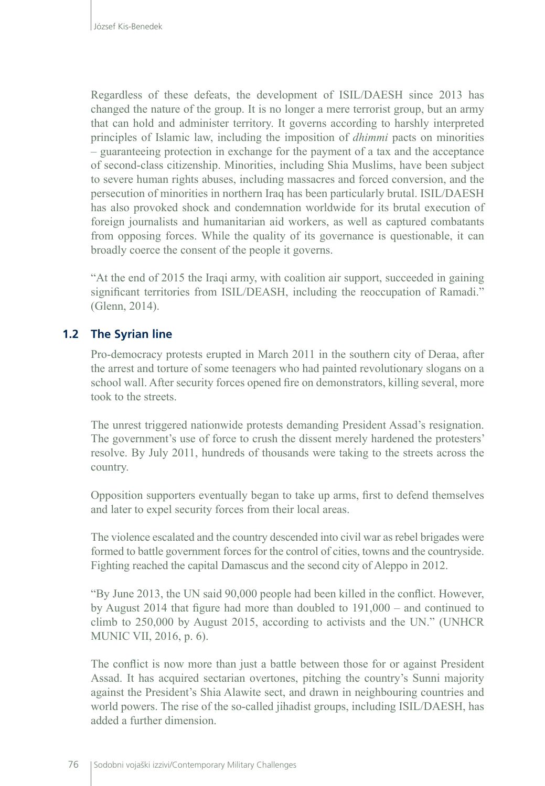Regardless of these defeats, the development of ISIL/DAESH since 2013 has changed the nature of the group. It is no longer a mere terrorist group, but [an army](http://warontherocks.com/2014/05/state-of-jihad-the-reality-of-the-islamic-state-in-iraq-and-syria/)  that can hold and administer territory. It governs according to harshly interpreted principles of Islamic law, including the [imposition of](http://www.joshualandis.com/blog/islamic-state-iraq-ash-shams-dhimmi-pact-christians-raqqa-province/) *dhimmi* pacts on minorities – guaranteeing protection in exchange for the payment of a tax and the acceptance of second-class citizenship. Minorities, including Shia Muslims, have been subject to severe human rights abuses, including [massacres and forced conversion](http://www.thetimes.co.uk/tto/news/world/middleeast/iraq/article4153752.ece), and the [persecution of minorities](http://tonyblairfaithfoundation.org/religion-geopolitics/commentaries/glance/how-isis-justifies-genocide) in northern Iraq has been particularly brutal. ISIL/DAESH has also provoked shock and condemnation worldwide for its brutal execution of foreign journalists and humanitarian aid workers, as well as captured combatants from opposing forces. While the quality of its governance is questionable, it can broadly coerce the consent of the people it governs.

"At the end of 2015 the Iraqi army, with coalition air support, succeeded in gaining significant territories from ISIL/DEASH, including the reoccupation of Ramadi." (Glenn, 2014).

### **1.2 The Syrian line**

Pro-democracy protests erupted in March 2011 in the southern city of Deraa, after the arrest and torture of some teenagers who had painted revolutionary slogans on a school wall. After security forces [opened fire on demonstrators](http://www.bbc.co.uk/news/world-middle-east-12791738), killing several, more took to the streets.

The unrest triggered nationwide protests demanding President Assad's resignation. The government's use of force to crush the dissent merely hardened the protesters' resolve. By July 2011, [hundreds of thousands were taking to the streets across the](http://www.bbc.co.uk/news/10338256)  [country.](http://www.bbc.co.uk/news/10338256)

Opposition supporters eventually began to take up arms, first to defend themselves and later to expel security forces from their local areas.

The violence escalated and the country descended into civil war as rebel brigades were formed to battle government forces for the control of cities, towns and the countryside. Fighting reached the capital Damascus and the second city of Aleppo in 2012.

"By June 2013, the UN said [90,000 people had been killed in the conflict.](https://hrdag.org/wp-content/uploads/2013/06/HRDAG-Updated-SY-report.pdf) However, by August 2014 that figure had more than [doubled to 191,000](https://hrdag.org/wp-content/uploads/2014/08/HRDAG-SY-UpdatedReportAug2014.pdf) – and continued to [climb to 250,000](http://www.un.org/press/en/2015/sc12008.doc.htm) by August 2015, according to activists and the UN." (UNHCR MUNIC VII, 2016, p. 6).

The conflict is now more than just a battle between those for or against President Assad. It has acquired sectarian overtones, pitching the country's Sunni majority against the President's Shia [Alawite](http://www.bbc.co.uk/programmes/b01qdtql) sect, and drawn in neighbouring countries and world powers. The rise of the so-called jihadist groups, including ISIL/DAESH, has added a further dimension.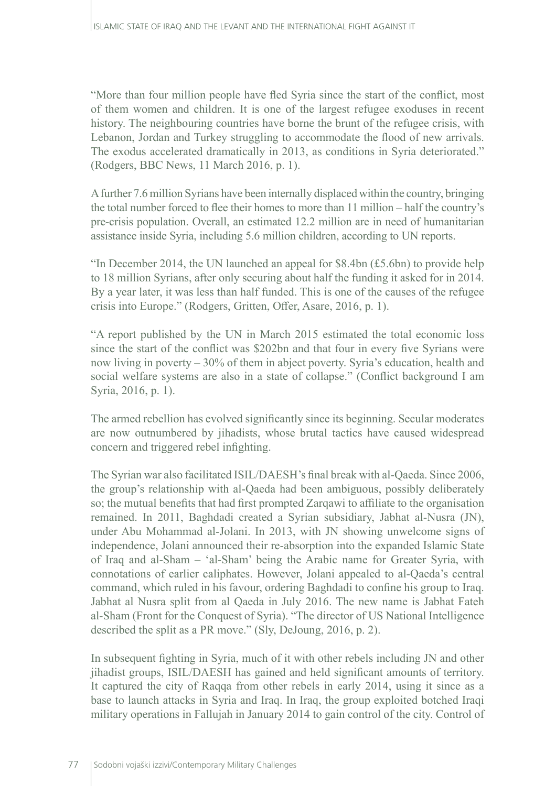"More than [four million people have fled Syria](http://data.unhcr.org/syrianrefugees/regional.php) since the start of the conflict, most of them women and children. It is one of the largest refugee exoduses in recent history. The neighbouring countries have borne the brunt of the refugee crisis, with Lebanon, Jordan and Turkey struggling to accommodate the flood of new arrivals. The exodus accelerated dramatically in 2013, as conditions in Syria deteriorated." (Rodgers, BBC News, 11 March 2016, p. 1).

A further 7.6 million Syrians have been internally displaced within the country, bringing the total number forced to flee their homes to more than 11 million – half the country's pre-crisis population. Overall, an estimated 12.2 million are in need of humanitarian assistance inside Syria, including 5.6 million children, according to UN reports.

"In December 2014, the UN launched an appeal for \$8.4bn (£5.6bn) to provide help to 18 million Syrians, after only securing about half the funding it asked for in 2014. By a year later, it was less than [half funded.](https://fts.unocha.org/pageloader.aspx?page=special-syriancrisis) This is one of the causes of the refugee crisis into Europe." (Rodgers, Gritten, Offer, Asare, 2016, p. 1).

"A [report published by the UN](http://www.unrwa.org/sites/default/files/alienation_and_violence_impact_of_the_syria_crisis_in_2014_eng.pdf) in March 2015 estimated the total economic loss since the start of the conflict was \$202bn and that four in every five Syrians were now living in poverty – 30% of them in abject poverty. Syria's education, health and social welfare systems are also in a state of collapse." (Conflict background I am Syria, 2016, p. 1).

The armed rebellion has evolved significantly since its beginning. Secular moderates are now outnumbered by jihadists, whose brutal tactics have caused widespread concern and triggered rebel infighting.

The Syrian war also facilitated ISIL/DAESH's final break with al-Qaeda. Since 2006, the group's relationship with al-Qaeda had been ambiguous, possibly deliberately so; the mutual benefits that had first prompted Zarqawi to affiliate to the organisation remained. In 2011, Baghdadi created a Syrian subsidiary, [Jabhat al-Nusra](http://tonyblairfaithfoundation.org/religion-geopolitics/commentaries/backgrounder/what-jabhat-al-nusra) (JN), under Abu Mohammad al-Jolani. In 2013, with JN showing unwelcome signs of independence, Jolani announced their re-absorption into the expanded Islamic State of Iraq and al-Sham – 'al-Sham' being the Arabic name for Greater Syria, with connotations of earlier caliphates. However, Jolani appealed to al-Qaeda's central command, which ruled in his favour, ordering Baghdadi to confine his group to Iraq. Jabhat al Nusra split from al Qaeda in July 2016. The new name is Jabhat Fateh al-Sham (Front for the Conquest of Syria). "The director of US National Intelligence described the split as a PR move." (Sly, DeJoung, 2016, p. 2).

In subsequent fighting in Syria, much of it with other rebels including JN and other jihadist groups, ISIL/DAESH has gained and held significant amounts of territory. It captured the city of Raqqa from other rebels in early 2014, using it since as a base to launch attacks in Syria and Iraq. In Iraq, the group exploited botched Iraqi military operations in Fallujah in January 2014 to gain control of the city. Control of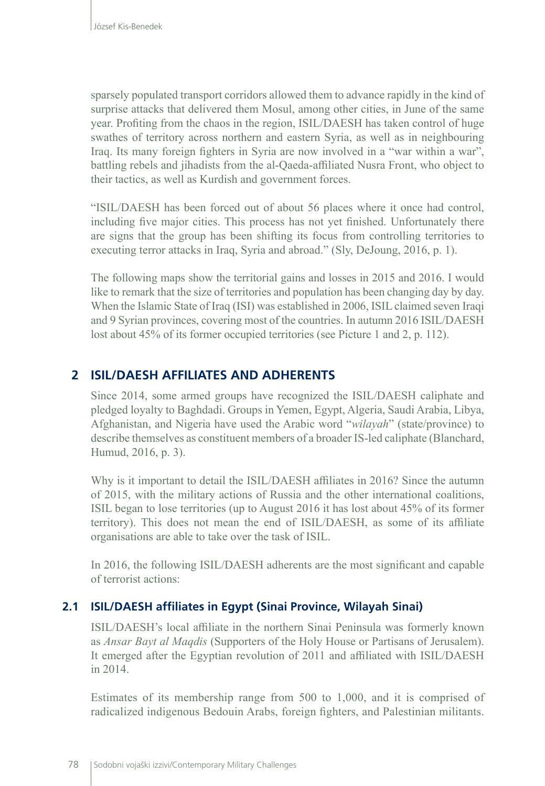sparsely populated transport corridors allowed them to advance rapidly in the kind of surprise attacks that delivered them Mosul, among other cities, in June of the same year. Profiting from the chaos in the region, ISIL/DAESH has taken control of huge swathes of territory across northern and eastern Syria, as well as in neighbouring Iraq. Its many foreign fighters in Syria are now involved in a "war within a war", battling rebels and jihadists from the al-Qaeda-affiliated Nusra Front, who object to their tactics, as well as Kurdish and government forces.

"ISIL/DAESH has been forced out of about 56 places where it once had control, including five major cities. This process has not yet finished. Unfortunately there are signs that the group has been shifting its focus from controlling territories to executing terror attacks in Iraq, Syria and abroad." (Sly, DeJoung, 2016, p. 1).

The following maps show the territorial gains and losses in 2015 and 2016. I would like to remark that the size of territories and population has been changing day by day. When the Islamic State of Iraq (ISI) was established in 2006, ISIL claimed seven Iraqi and 9 Syrian provinces, covering most of the countries. In autumn 2016 ISIL/DAESH lost about 45% of its former occupied territories (see Picture 1 and 2, p. 112).

# **2 ISIL/DAESH AFFILIATES AND ADHERENTS**

Since 2014, some armed groups have recognized the ISIL/DAESH caliphate and pledged loyalty to Baghdadi. Groups in Yemen, Egypt, Algeria, Saudi Arabia, Libya, Afghanistan, and Nigeria have used the Arabic word "*wilayah*" (state/province) to describe themselves as constituent members of a broader IS-led caliphate (Blanchard, Humud, 2016, p. 3).

Why is it important to detail the ISIL/DAESH affiliates in 2016? Since the autumn of 2015, with the military actions of Russia and the other international coalitions, ISIL began to lose territories (up to August 2016 it has lost about 45% of its former territory). This does not mean the end of ISIL/DAESH, as some of its affiliate organisations are able to take over the task of ISIL.

In 2016, the following ISIL/DAESH adherents are the most significant and capable of terrorist actions:

### **2.1 ISIL/DAESH affiliates in Egypt (Sinai Province, Wilayah Sinai)**

ISIL/DAESH's local affiliate in the northern Sinai Peninsula was formerly known as *Ansar Bayt al Maqdis* (Supporters of the Holy House or Partisans of Jerusalem). It emerged after the Egyptian revolution of 2011 and affiliated with ISIL/DAESH in 2014.

Estimates of its membership range from 500 to 1,000, and it is comprised of radicalized indigenous Bedouin Arabs, foreign fighters, and Palestinian militants.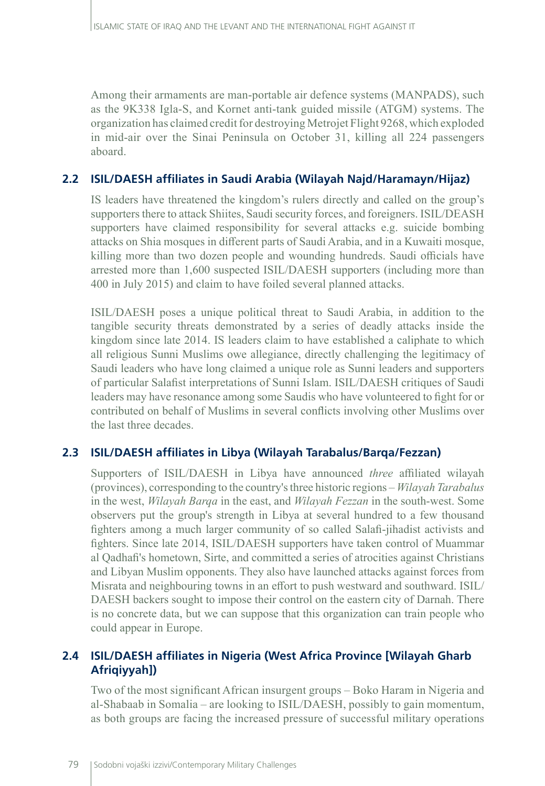Among their armaments are man-portable air defence systems (MANPADS), such as the 9K338 Igla-S, and Kornet anti-tank guided missile (ATGM) systems. The organization has claimed credit for destroying Metrojet Flight 9268, which exploded in mid-air over the Sinai Peninsula on October 31, killing all 224 passengers aboard.

### **2.2 ISIL/DAESH affiliates in Saudi Arabia (Wilayah Najd/Haramayn/Hijaz)**

IS leaders have threatened the kingdom's rulers directly and called on the group's supporters there to attack Shiites, Saudi security forces, and foreigners. ISIL/DEASH supporters have claimed responsibility for several attacks e.g. suicide bombing attacks on Shia mosques in different parts of Saudi Arabia, and in a Kuwaiti mosque, killing more than two dozen people and wounding hundreds. Saudi officials have arrested more than 1,600 suspected ISIL/DAESH supporters (including more than 400 in July 2015) and claim to have foiled several planned attacks.

ISIL/DAESH poses a unique political threat to Saudi Arabia, in addition to the tangible security threats demonstrated by a series of deadly attacks inside the kingdom since late 2014. IS leaders claim to have established a caliphate to which all religious Sunni Muslims owe allegiance, directly challenging the legitimacy of Saudi leaders who have long claimed a unique role as Sunni leaders and supporters of particular Salafist interpretations of Sunni Islam. ISIL/DAESH critiques of Saudi leaders may have resonance among some Saudis who have volunteered to fight for or contributed on behalf of Muslims in several conflicts involving other Muslims over the last three decades.

# **2.3 ISIL/DAESH affiliates in Libya (Wilayah Tarabalus/Barqa/Fezzan)**

Supporters of ISIL/DAESH in Libya have announced *three* affiliated wilayah (provinces), corresponding to the country's three historic regions – *Wilayah Tarabalus*  in the west, *Wilayah Barqa* in the east, and *Wilayah Fezzan* in the south-west. Some observers put the group's strength in Libya at several hundred to a few thousand fighters among a much larger community of so called Salafi-jihadist activists and fighters. Since late 2014, ISIL/DAESH supporters have taken control of Muammar al Qadhafi's hometown, Sirte, and committed a series of atrocities against Christians and Libyan Muslim opponents. They also have launched attacks against forces from Misrata and neighbouring towns in an effort to push westward and southward. ISIL/ DAESH backers sought to impose their control on the eastern city of Darnah. There is no concrete data, but we can suppose that this organization can train people who could appear in Europe.

# **2.4 ISIL/DAESH affiliates in Nigeria (West Africa Province [Wilayah Gharb Afriqiyyah])**

Two of the most significant African insurgent groups – Boko Haram in Nigeria and al-Shabaab in Somalia – are looking to ISIL/DAESH, possibly to gain momentum, as both groups are facing the increased pressure of successful military operations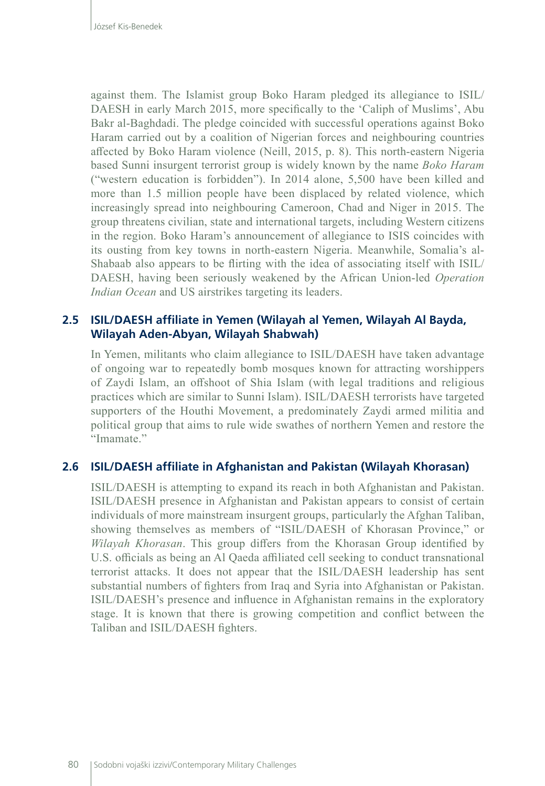against them. The Islamist group Boko Haram pledged its allegiance to ISIL/ DAESH in early March 2015, more specifically to the 'Caliph of Muslims', Abu Bakr al-Baghdadi. The pledge coincided with successful operations against Boko Haram carried out by a coalition of Nigerian forces and neighbouring countries affected by Boko Haram violence (Neill, 2015, p. 8). This north-eastern Nigeria based Sunni insurgent terrorist group is widely known by the name *Boko Haram*  ("western education is forbidden"). In 2014 alone, 5,500 have been killed and more than 1.5 million people have been displaced by related violence, which increasingly spread into neighbouring Cameroon, Chad and Niger in 2015. The group threatens civilian, state and international targets, including Western citizens in the region. Boko Haram's announcement of allegiance to ISIS coincides with its ousting from key towns in north-eastern Nigeria. Meanwhile, Somalia's al-Shabaab also appears to be flirting with the idea of associating itself with ISIL/ DAESH, having been seriously weakened by the African Union-led *Operation Indian Ocean* and US airstrikes targeting its leaders.

### **2.5 ISIL/DAESH affiliate in Yemen (Wilayah al Yemen, Wilayah Al Bayda, Wilayah Aden-Abyan, Wilayah Shabwah)**

In Yemen, militants who claim allegiance to ISIL/DAESH have taken advantage of ongoing war to repeatedly bomb mosques known for attracting worshippers of Zaydi Islam, an offshoot of Shia Islam (with legal traditions and religious practices which are similar to Sunni Islam). ISIL/DAESH terrorists have targeted supporters of the Houthi Movement, a predominately Zaydi armed militia and political group that aims to rule wide swathes of northern Yemen and restore the "Imamate."

#### **2.6 ISIL/DAESH affiliate in Afghanistan and Pakistan (Wilayah Khorasan)**

ISIL/DAESH is attempting to expand its reach in both Afghanistan and Pakistan. ISIL/DAESH presence in Afghanistan and Pakistan appears to consist of certain individuals of more mainstream insurgent groups, particularly the Afghan Taliban, showing themselves as members of "ISIL/DAESH of Khorasan Province," or *Wilayah Khorasan*. This group differs from the Khorasan Group identified by U.S. officials as being an Al Qaeda affiliated cell seeking to conduct transnational terrorist attacks. It does not appear that the ISIL/DAESH leadership has sent substantial numbers of fighters from Iraq and Syria into Afghanistan or Pakistan. ISIL/DAESH's presence and influence in Afghanistan remains in the exploratory stage. It is known that there is growing competition and conflict between the Taliban and ISIL/DAESH fighters.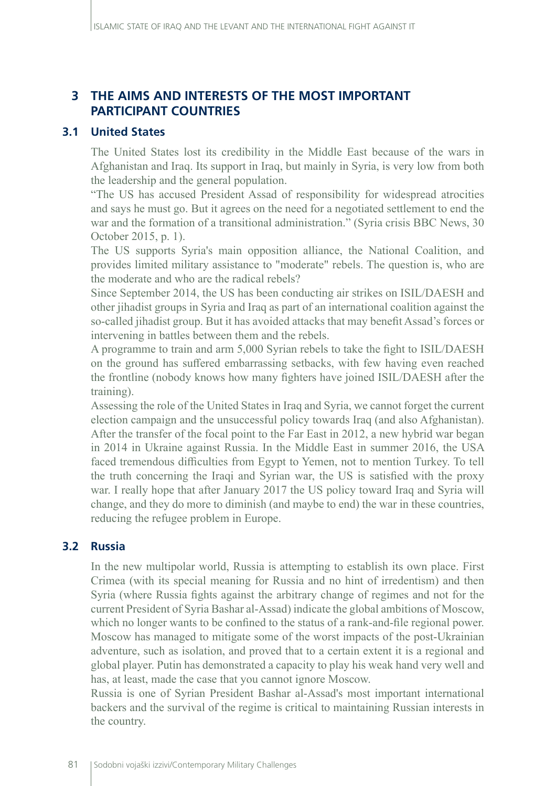# **3 THE AIMS AND INTERESTS OF THE MOST IMPORTANT PARTICIPANT COUNTRIES**

### **3.1 United States**

The United States lost its credibility in the Middle East because of the wars in Afghanistan and Iraq. Its support in Iraq, but mainly in Syria, is very low from both the leadership and the general population.

"The US has accused President Assad of responsibility for widespread atrocities and says he must go. But it agrees on the need for a negotiated settlement to end the war and the formation of a transitional administration." (Syria crisis BBC News, 30 October 2015, p. 1).

The US supports Syria's main opposition alliance, the National Coalition, and provides limited military assistance to "moderate" rebels. The question is, who are the moderate and who are the radical rebels?

Since September 2014, the US has been conducting air strikes on ISIL/DAESH and other jihadist groups in Syria and Iraq as part of an international coalition against the so-called jihadist group. But it has avoided attacks that may benefit Assad's forces or intervening in battles between them and the rebels.

A programme to train and arm 5,000 Syrian rebels to take the fight to ISIL/DAESH on the ground has suffered embarrassing setbacks, with few having even reached the frontline (nobody knows how many fighters have joined ISIL/DAESH after the training).

Assessing the role of the United States in Iraq and Syria, we cannot forget the current election campaign and the unsuccessful policy towards Iraq (and also Afghanistan). After the transfer of the focal point to the Far East in 2012, a new hybrid war began in 2014 in Ukraine against Russia. In the Middle East in summer 2016, the USA faced tremendous difficulties from Egypt to Yemen, not to mention Turkey. To tell the truth concerning the Iraqi and Syrian war, the US is satisfied with the proxy war. I really hope that after January 2017 the US policy toward Iraq and Syria will change, and they do more to diminish (and maybe to end) the war in these countries, reducing the refugee problem in Europe.

### **3.2 Russia**

In the new multipolar world, Russia is attempting to establish its own place. First Crimea (with its special meaning for Russia and no hint of irredentism) and then Syria (where Russia fights against the arbitrary change of regimes and not for the current President of Syria Bashar al-Assad) indicate the global ambitions of Moscow, which no longer wants to be confined to the status of a rank-and-file regional power. Moscow has managed to mitigate some of the worst impacts of the post-Ukrainian adventure, such as isolation, and proved that to a certain extent it is a regional and global player. Putin has demonstrated a capacity to play his weak hand very well and has, at least, made the case that you cannot ignore Moscow.

Russia is one of Syrian President Bashar al-Assad's most important international backers and the survival of the regime is critical to maintaining Russian interests in the country.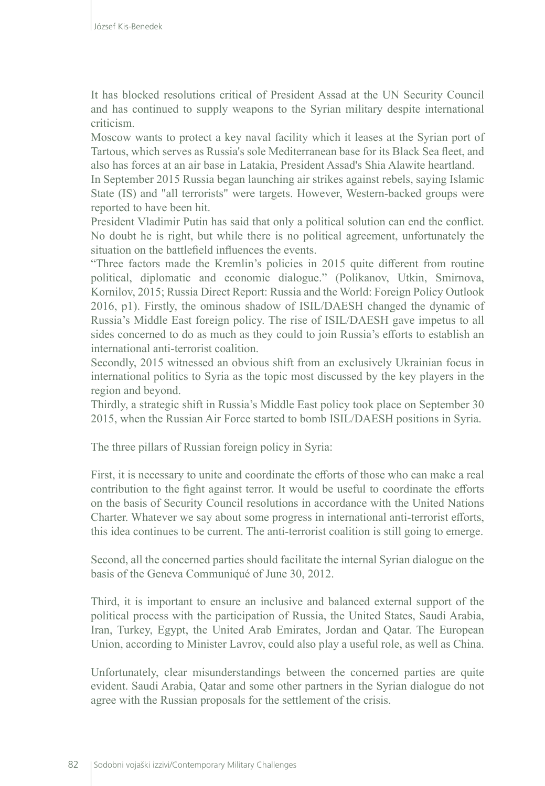It has blocked resolutions critical of President Assad at the UN Security Council and has continued to supply weapons to the Syrian military despite international criticism.

Moscow wants to protect a key naval facility which it leases at the Syrian port of Tartous, which serves as Russia's sole Mediterranean base for its Black Sea fleet, and also has forces at an air base in Latakia, President Assad's Shia Alawite heartland.

In September 2015 Russia began launching air strikes against rebels, saying Islamic State (IS) and "all terrorists" were targets. However, Western-backed groups were reported to have been hit.

President Vladimir Putin has said that only a political solution can end the conflict. No doubt he is right, but while there is no political agreement, unfortunately the situation on the battlefield influences the events.

"Three factors made the Kremlin's policies in 2015 quite different from routine political, diplomatic and economic dialogue." (Polikanov, Utkin, Smirnova, Kornilov, 2015; Russia Direct Report: Russia and the World: Foreign Policy Outlook 2016, p1). Firstly, the ominous shadow of ISIL/DAESH changed the dynamic of Russia's Middle East foreign policy. The rise of ISIL/DAESH gave impetus to all sides concerned to do as much as they could to join Russia's efforts to establish an international anti-terrorist coalition.

Secondly, 2015 witnessed an obvious shift from an exclusively Ukrainian focus in international politics to Syria as the topic most discussed by the key players in the region and beyond.

Thirdly, a strategic shift in Russia's Middle East policy took place on September 30 2015, when the Russian Air Force started to bomb ISIL/DAESH positions in Syria.

The three pillars of Russian foreign policy in Syria:

First, it is necessary to unite and coordinate the efforts of those who can make a real contribution to the fight against terror. It would be useful to coordinate the efforts on the basis of Security Council resolutions in accordance with the United Nations Charter. Whatever we say about some progress in international anti-terrorist efforts, this idea continues to be current. The anti-terrorist coalition is still going to emerge.

Second, all the concerned parties should facilitate the internal Syrian dialogue on the basis of the Geneva Communiqué of June 30, 2012.

Third, it is important to ensure an inclusive and balanced external support of the political process with the participation of Russia, the United States, Saudi Arabia, Iran, Turkey, Egypt, the United Arab Emirates, Jordan and Qatar. The European Union, according to Minister Lavrov, could also play a useful role, as well as China.

Unfortunately, clear misunderstandings between the concerned parties are quite evident. Saudi Arabia, Qatar and some other partners in the Syrian dialogue do not agree with the Russian proposals for the settlement of the crisis.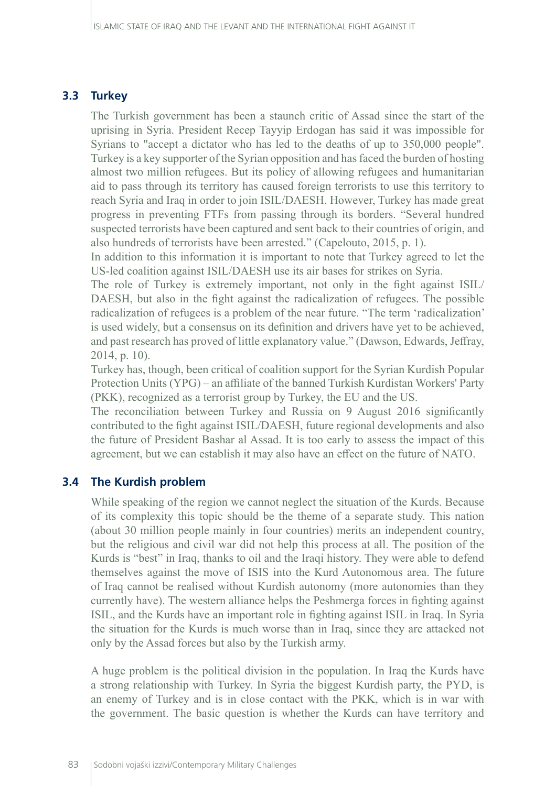#### **3.3 Turkey**

The Turkish government has been a staunch critic of Assad since the start of the uprising in Syria. President Recep Tayyip Erdogan has said it was impossible for Syrians to "accept a dictator who has led to the deaths of up to 350,000 people". Turkey is a key supporter of the Syrian opposition and has faced the burden of hosting almost two million refugees. But its policy of allowing refugees and humanitarian aid to pass through its territory has caused foreign terrorists to use this territory to reach Syria and Iraq in order to join ISIL/DAESH. However, Turkey has made great progress in preventing FTFs from passing through its borders. "Several hundred suspected terrorists have been captured and sent back to their countries of origin, and also hundreds of terrorists have been arrested." (Capelouto, 2015, p. 1).

In addition to this information it is important to note that Turkey agreed to let the US-led coalition against ISIL/DAESH use its air bases for strikes on Syria.

The role of Turkey is extremely important, not only in the fight against ISIL/ DAESH, but also in the fight against the radicalization of refugees. The possible radicalization of refugees is a problem of the near future. "The term 'radicalization' is used widely, but a consensus on its definition and drivers have yet to be achieved, and past research has proved of little explanatory value." (Dawson, Edwards, Jeffray, 2014, p. 10).

Turkey has, though, been critical of coalition support for the Syrian Kurdish Popular Protection Units (YPG) – an affiliate of the banned Turkish Kurdistan Workers' Party (PKK), recognized as a terrorist group by Turkey, the EU and the US.

The reconciliation between Turkey and Russia on 9 August 2016 significantly contributed to the fight against ISIL/DAESH, future regional developments and also the future of President Bashar al Assad. It is too early to assess the impact of this agreement, but we can establish it may also have an effect on the future of NATO.

#### **3.4 The Kurdish problem**

While speaking of the region we cannot neglect the situation of the Kurds. Because of its complexity this topic should be the theme of a separate study. This nation (about 30 million people mainly in four countries) merits an independent country, but the religious and civil war did not help this process at all. The position of the Kurds is "best" in Iraq, thanks to oil and the Iraqi history. They were able to defend themselves against the move of ISIS into the Kurd Autonomous area. The future of Iraq cannot be realised without Kurdish autonomy (more autonomies than they currently have). The western alliance helps the Peshmerga forces in fighting against ISIL, and the Kurds have an important role in fighting against ISIL in Iraq. In Syria the situation for the Kurds is much worse than in Iraq, since they are attacked not only by the Assad forces but also by the Turkish army.

A huge problem is the political division in the population. In Iraq the Kurds have a strong relationship with Turkey. In Syria the biggest Kurdish party, the PYD, is an enemy of Turkey and is in close contact with the PKK, which is in war with the government. The basic question is whether the Kurds can have territory and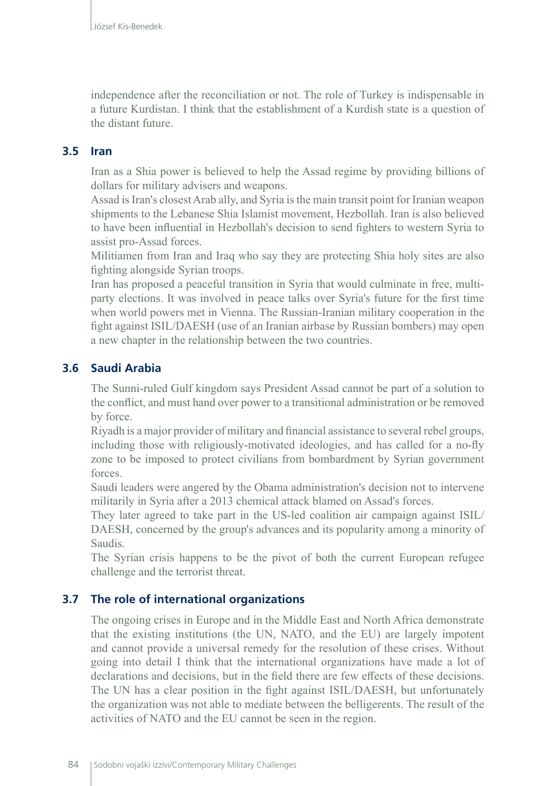independence after the reconciliation or not. The role of Turkey is indispensable in a future Kurdistan. I think that the establishment of a Kurdish state is a question of the distant future.

### **3.5 Iran**

Iran as a Shia power is believed to help the Assad regime by providing billions of dollars for military advisers and weapons.

Assad is Iran's closest Arab ally, and Syria is the main transit point for Iranian weapon shipments to the Lebanese Shia Islamist movement, Hezbollah. Iran is also believed to have been influential in Hezbollah's decision to send fighters to western Syria to assist pro-Assad forces.

Militiamen from Iran and Iraq who say they are protecting Shia holy sites are also fighting alongside Syrian troops.

Iran has proposed a peaceful transition in Syria that would culminate in free, multiparty elections. It was involved in peace talks over Syria's future for the first time when world powers met in Vienna. The Russian-Iranian military cooperation in the fight against ISIL/DAESH (use of an Iranian airbase by Russian bombers) may open a new chapter in the relationship between the two countries.

# **3.6 Saudi Arabia**

The Sunni-ruled Gulf kingdom says President Assad cannot be part of a solution to the conflict, and must hand over power to a transitional administration or be removed by force.

Riyadh is a major provider of military and financial assistance to several rebel groups, including those with religiously-motivated ideologies, and has called for a no-fly zone to be imposed to protect civilians from bombardment by Syrian government forces.

Saudi leaders were angered by the Obama administration's decision not to intervene militarily in Syria after a 2013 chemical attack blamed on Assad's forces.

They later agreed to take part in the US-led coalition air campaign against ISIL/ DAESH, concerned by the group's advances and its popularity among a minority of Saudis.

The Syrian crisis happens to be the pivot of both the current European refugee challenge and the terrorist threat.

# **3.7 The role of international organizations**

The ongoing crises in Europe and in the Middle East and North Africa demonstrate that the existing institutions (the UN, NATO, and the EU) are largely impotent and cannot provide a universal remedy for the resolution of these crises. Without going into detail I think that the international organizations have made a lot of declarations and decisions, but in the field there are few effects of these decisions. The UN has a clear position in the fight against ISIL/DAESH, but unfortunately the organization was not able to mediate between the belligerents. The result of the activities of NATO and the EU cannot be seen in the region.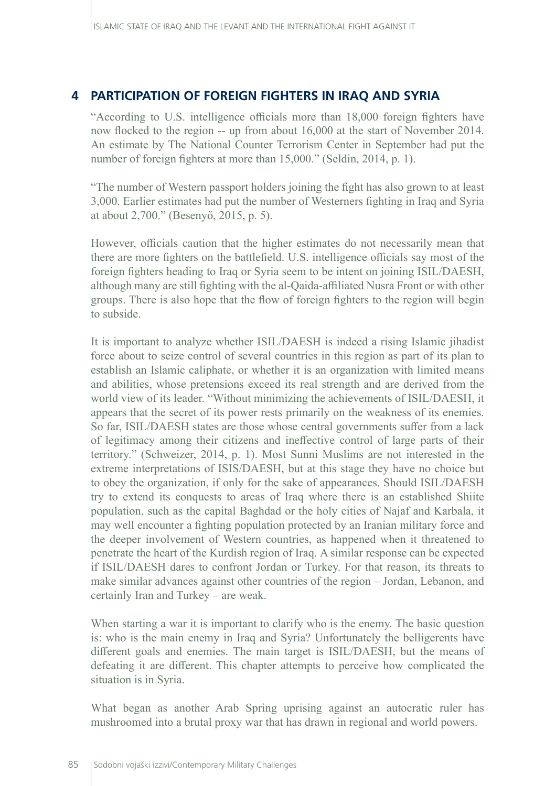# **4 PARTICIPATION OF FOREIGN FIGHTERS IN IRAQ AND SYRIA**

"According to U.S. intelligence officials more than 18,000 foreign fighters have now flocked to the region -- up from about 16,000 at the start of November 2014. An estimate by The National Counter Terrorism Center in September had put the number of foreign fighters at more than 15,000." (Seldin, 2014, p. 1).

"The number of Western passport holders joining the fight has also grown to at least 3,000. Earlier estimates had put the number of Westerners fighting in Iraq and Syria at about 2,700." (Besenyő, 2015, p. 5).

However, officials caution that the higher estimates do not necessarily mean that there are more fighters on the battlefield. U.S. intelligence officials say most of the foreign fighters heading to Iraq or Syria seem to be intent on joining ISIL/DAESH, although many are still fighting with the al-Qaida-affiliated Nusra Front or with other groups. There is also hope that the flow of foreign fighters to the region will begin to subside.

It is important to analyze whether ISIL/DAESH is indeed a rising Islamic jihadist force about to seize control of several countries in this region as part of its plan to establish an Islamic caliphate, or whether it is an organization with limited means and abilities, whose pretensions exceed its real strength and are derived from the world view of its leader. "Without minimizing the achievements of ISIL/DAESH, it appears that the secret of its power rests primarily on the weakness of its enemies. So far, ISIL/DAESH states are those whose central governments suffer from a lack of legitimacy among their citizens and ineffective control of large parts of their territory." (Schweizer, 2014, p. 1). Most Sunni Muslims are not interested in the extreme interpretations of ISIS/DAESH, but at this stage they have no choice but to obey the organization, if only for the sake of appearances. Should ISIL/DAESH try to extend its conquests to areas of Iraq where there is an established Shiite population, such as the capital Baghdad or the holy cities of Najaf and Karbala, it may well encounter a fighting population protected by an Iranian military force and the deeper involvement of Western countries, as happened when it threatened to penetrate the heart of the Kurdish region of Iraq. A similar response can be expected if ISIL/DAESH dares to confront Jordan or Turkey. For that reason, its threats to make similar advances against other countries of the region – Jordan, Lebanon, and certainly Iran and Turkey – are weak.

When starting a war it is important to clarify who is the enemy. The basic question is: who is the main enemy in Iraq and Syria? Unfortunately the belligerents have different goals and enemies. The main target is ISIL/DAESH, but the means of defeating it are different. This chapter attempts to perceive how complicated the situation is in Syria.

What began as another Arab Spring uprising against an autocratic ruler has mushroomed into a brutal proxy war that has drawn in regional and world powers.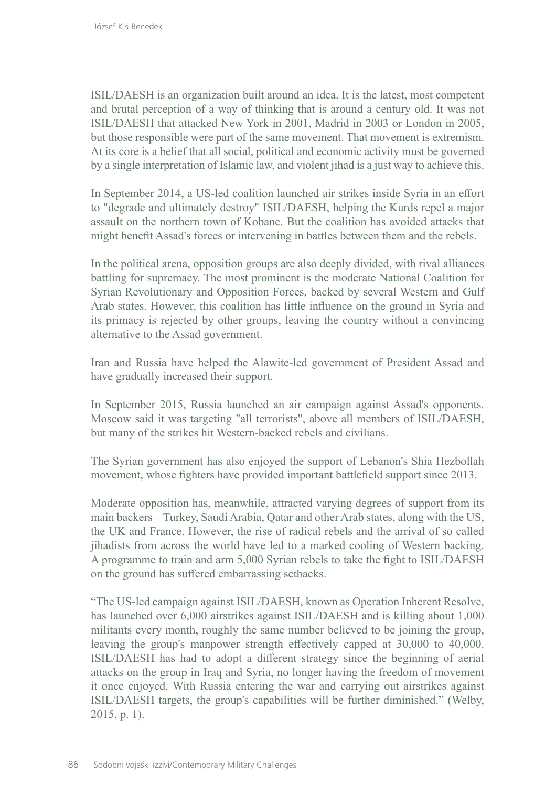ISIL/DAESH is an organization built around an idea. It is the latest, most competent and brutal perception of a way of thinking that is around a century old. It was not [ISIL/DAESH](http://tonyblairfaithfoundation.org/religion-geopolitics/commentaries/backgrounder/what-isis) that attacked New York in 2001, Madrid in 2003 or London in 2005, but those responsible were part of the same movement. That movement is extremism. At its core is a belief that all social, political and economic activity must be governed by a single interpretation of Islamic law, and violent jihad is a just way to achieve this.

In September 2014, a US-led coalition launched air strikes inside Syria in an effort to "degrade and ultimately destroy" ISIL/DAESH, helping the Kurds repel a major assault on the northern town of Kobane. But the coalition has avoided attacks that might benefit Assad's forces or intervening in battles between them and the rebels.

In the political arena, opposition groups are also deeply divided, with rival alliances battling for supremacy. The most prominent is the moderate National Coalition for Syrian Revolutionary and Opposition Forces, backed by several Western and Gulf Arab states. However, this coalition has little influence on the ground in Syria and its primacy is rejected by other groups, leaving the country without a convincing alternative to the Assad government.

Iran and Russia have helped the Alawite-led government of President Assad and have gradually increased their support.

In September 2015, Russia launched an air campaign against Assad's opponents. Moscow said it was targeting "all terrorists", above all members of ISIL/DAESH, but many of the strikes hit Western-backed rebels and civilians.

The Syrian government has also enjoyed the support of Lebanon's Shia Hezbollah movement, whose fighters have provided important battlefield support since 2013.

Moderate opposition has, meanwhile, attracted varying degrees of support from its main backers – Turkey, Saudi Arabia, Qatar and other Arab states, along with the US, the UK and France. However, the rise of radical rebels and the arrival of so called jihadists from across the world have led to a marked cooling of Western backing. A programme to train and arm 5,000 Syrian rebels to take the fight to ISIL/DAESH on the ground has suffered embarrassing setbacks.

"The US-led campaign against ISIL/DAESH, known as Operation Inherent Resolve, has launched over 6,000 airstrikes against ISIL/DAESH and is killing about 1,000 militants every month, roughly the same number believed to be joining the group, leaving the group's manpower strength effectively capped at 30,000 to 40,000. ISIL/DAESH has had to adopt a different strategy since the beginning of aerial attacks on the group in Iraq and Syria, no longer having the freedom of movement it once enjoyed. With Russia entering the war and carrying out airstrikes against ISIL/DAESH targets, the group's capabilities will be further diminished." (Welby, 2015, p. 1).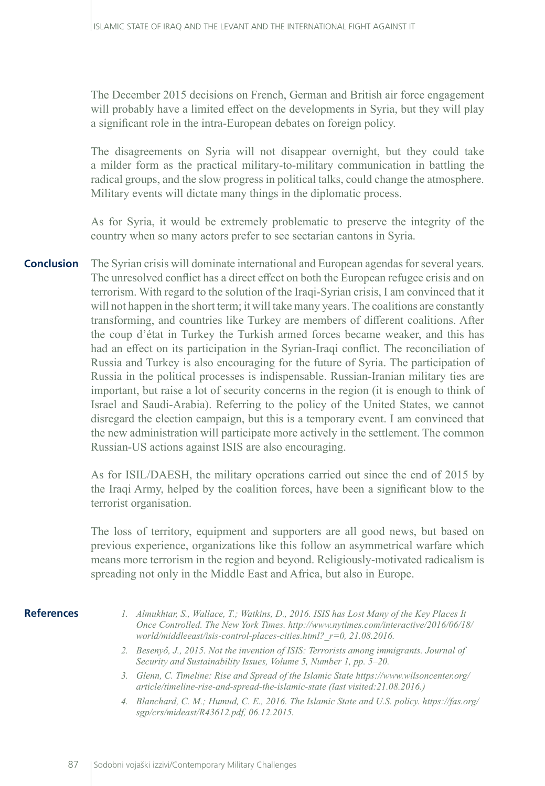The December 2015 decisions on French, German and British air force engagement will probably have a limited effect on the developments in Syria, but they will play a significant role in the intra-European debates on foreign policy.

The disagreements on Syria will not disappear overnight, but they could take a milder form as the practical military-to-military communication in battling the radical groups, and the slow progress in political talks, could change the atmosphere. Military events will dictate many things in the diplomatic process.

As for Syria, it would be extremely problematic to preserve the integrity of the country when so many actors prefer to see sectarian cantons in Syria.

The Syrian crisis will dominate international and European agendas for several years. The unresolved conflict has a direct effect on both the European refugee crisis and on terrorism. With regard to the solution of the Iraqi-Syrian crisis, I am convinced that it will not happen in the short term; it will take many years. The coalitions are constantly transforming, and countries like Turkey are members of different coalitions. After the coup d'état in Turkey the Turkish armed forces became weaker, and this has had an effect on its participation in the Syrian-Iraqi conflict. The reconciliation of Russia and Turkey is also encouraging for the future of Syria. The participation of Russia in the political processes is indispensable. Russian-Iranian military ties are important, but raise a lot of security concerns in the region (it is enough to think of Israel and Saudi-Arabia). Referring to the policy of the United States, we cannot disregard the election campaign, but this is a temporary event. I am convinced that the new administration will participate more actively in the settlement. The common Russian-US actions against ISIS are also encouraging. **Conclusion**

> As for ISIL/DAESH, the military operations carried out since the end of 2015 by the Iraqi Army, helped by the coalition forces, have been a significant blow to the terrorist organisation.

> The loss of territory, equipment and supporters are all good news, but based on previous experience, organizations like this follow an asymmetrical warfare which means more terrorism in the region and beyond. Religiously-motivated radicalism is spreading not only in the Middle East and Africa, but also in Europe.

#### **References**

- *1. Almukhtar, S., Wallace, T.; Watkins, D., 2016. ISIS has Lost Many of the Key Places It Once Controlled. The New York Times. http://www.nytimes.com/interactive/2016/06/18/ world/middleeast/isis-control-places-cities.html?\_r=0, 21.08.2016.*
- *2. Besenyő, J., 2015. Not the invention of ISIS: Terrorists among immigrants. Journal of Security and Sustainability Issues, Volume 5, Number 1, pp. 5–20.*
- *3. Glenn, C. Timeline: Rise and Spread of the Islamic State [https://www.wilsoncenter.org/](https://www.wilsoncenter.org/article/timeline-rise-and-spread-the-islamic-state) [article/timeline-rise-and-spread-the-islamic-state](https://www.wilsoncenter.org/article/timeline-rise-and-spread-the-islamic-state) (last visited:21.08.2016.)*
- *4. Blanchard, C. M.; Humud, C. E., 2016. The Islamic State and U.S. policy. https://fas.org/ sgp/crs/mideast/R43612.pdf, 06.12.2015.*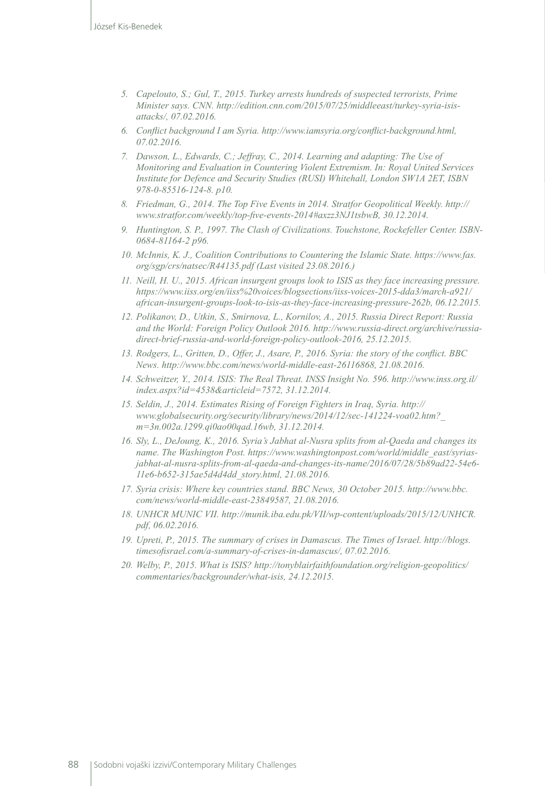- *5. Capelouto, S.; Gul, T., 2015. Turkey arrests hundreds of suspected terrorists, Prime Minister says. CNN. http://edition.cnn.com/2015/07/25/middleeast/turkey-syria-isisattacks/, 07.02.2016.*
- *6. Conflict background I am Syria. http://www.iamsyria.org/conflict-background.html, 07.02.2016.*
- *7. Dawson, L., Edwards, C.; Jeffray, C., 2014. Learning and adapting: The Use of Monitoring and Evaluation in Countering Violent Extremism. In: Royal United Services Institute for Defence and Security Studies (RUSI) Whitehall, London SW1A 2ET, ISBN 978-0-85516-124-8. p10.*
- *8. Friedman, G., 2014. The Top Five Events in 2014. Stratfor Geopolitical Weekly. http:// www.stratfor.com/weekly/top-five-events-2014#axzz3NJ1tsbwB, 30.12.2014.*
- *9. Huntington, S. P., 1997. The Clash of Civilizations. Touchstone, Rockefeller Center. ISBN-0684-81164-2 p96.*
- *10. McInnis, K. J., Coalition Contributions to Countering the Islamic State. [https://www.fas.](https://www.fas.org/sgp/crs/natsec/R44135.pdf) [org/sgp/crs/natsec/R44135.pdf](https://www.fas.org/sgp/crs/natsec/R44135.pdf) (Last visited 23.08.2016.)*
- *11. Neill, H. U., 2015. African insurgent groups look to ISIS as they face increasing pressure. https://www.iiss.org/en/iiss%20voices/blogsections/iiss-voices-2015-dda3/march-a921/ african-insurgent-groups-look-to-isis-as-they-face-increasing-pressure-262b, 06.12.2015.*
- *12. Polikanov, D., Utkin, S., Smirnova, L., Kornilov, A., 2015. Russia Direct Report: Russia and the World: Foreign Policy Outlook 2016. http://www.russia-direct.org/archive/russiadirect-brief-russia-and-world-foreign-policy-outlook-2016, 25.12.2015.*
- *13. Rodgers, L., Gritten, D., Offer, J., Asare, P., 2016. Syria: the story of the conflict. BBC News. http://www.bbc.com/news/world-middle-east-26116868, 21.08.2016.*
- *14. Schweitzer, Y., 2014. ISIS: The Real Threat. INSS Insight No. 596. http://www.inss.org.il/ index.aspx?id=4538&articleid=7572, 31.12.2014.*
- *15. Seldin, J., 2014. Estimates Rising of Foreign Fighters in Iraq, Syria. http:// www.globalsecurity.org/security/library/news/2014/12/sec-141224-voa02.htm?\_ m=3n.002a.1299.qi0ao00qad.16wb, 31.12.2014.*
- *16. Sly, L., DeJoung, K., 2016. Syria's Jabhat al-Nusra splits from al-Qaeda and changes its name. The Washington Post. https://www.washingtonpost.com/world/middle\_east/syriasjabhat-al-nusra-splits-from-al-qaeda-and-changes-its-name/2016/07/28/5b89ad22-54e6- 11e6-b652-315ae5d4d4dd\_story.html, 21.08.2016.*
- *17. Syria crisis: Where key countries stand. BBC News, 30 October 2015. http://www.bbc. com/news/world-middle-east-23849587, 21.08.2016.*
- *18. UNHCR MUNIC VII. http://munik.iba.edu.pk/VII/wp-content/uploads/2015/12/UNHCR. pdf, 06.02.2016.*
- *19. Upreti, P., 2015. The summary of crises in Damascus. The Times of Israel. http://blogs. timesofisrael.com/a-summary-of-crises-in-damascus/, 07.02.2016.*
- *20. Welby, P., 2015. What is ISIS? http://tonyblairfaithfoundation.org/religion-geopolitics/ commentaries/backgrounder/what-isis, 24.12.2015.*